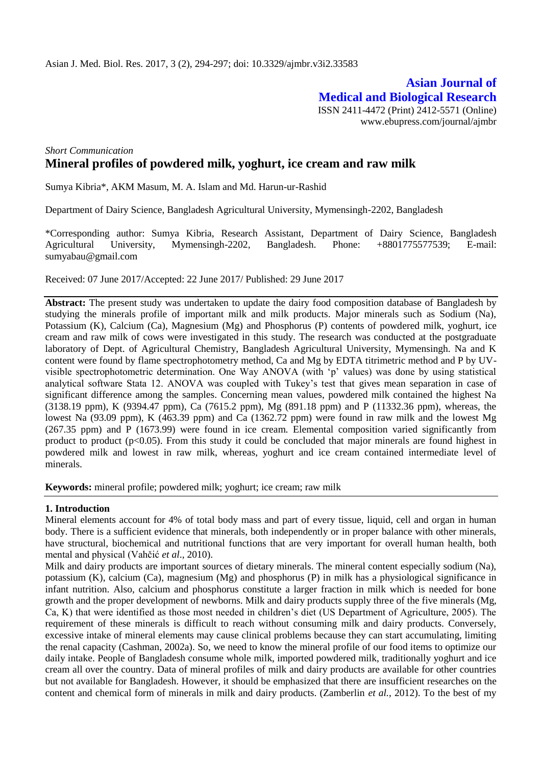**Asian Journal of Medical and Biological Research** ISSN 2411-4472 (Print) 2412-5571 (Online) www.ebupress.com/journal/ajmbr

# *Short Communication* **Mineral profiles of powdered milk, yoghurt, ice cream and raw milk**

Sumya Kibria\*, AKM Masum, M. A. Islam and Md. Harun-ur-Rashid

Department of Dairy Science, Bangladesh Agricultural University, Mymensingh-2202, Bangladesh

\*Corresponding author: Sumya Kibria, Research Assistant, Department of Dairy Science, Bangladesh Agricultural University, Mymensingh-2202, Bangladesh. Phone: +8801775577539; E-mail: sumyabau@gmail.com

Received: 07 June 2017/Accepted: 22 June 2017/ Published: 29 June 2017

**Abstract:** The present study was undertaken to update the dairy food composition database of Bangladesh by studying the minerals profile of important milk and milk products. Major minerals such as Sodium (Na), Potassium (K), Calcium (Ca), Magnesium (Mg) and Phosphorus (P) contents of powdered milk, yoghurt, ice cream and raw milk of cows were investigated in this study. The research was conducted at the postgraduate laboratory of Dept. of Agricultural Chemistry, Bangladesh Agricultural University, Mymensingh. Na and K content were found by flame spectrophotometry method, Ca and Mg by EDTA titrimetric method and P by UVvisible spectrophotometric determination. One Way ANOVA (with 'p' values) was done by using statistical analytical software Stata 12. ANOVA was coupled with Tukey's test that gives mean separation in case of significant difference among the samples. Concerning mean values, powdered milk contained the highest Na (3138.19 ppm), K (9394.47 ppm), Ca (7615.2 ppm), Mg (891.18 ppm) and P (11332.36 ppm), whereas, the lowest Na (93.09 ppm), K (463.39 ppm) and Ca (1362.72 ppm) were found in raw milk and the lowest Mg (267.35 ppm) and P (1673.99) were found in ice cream. Elemental composition varied significantly from product to product ( $p<0.05$ ). From this study it could be concluded that major minerals are found highest in powdered milk and lowest in raw milk, whereas, yoghurt and ice cream contained intermediate level of minerals.

**Keywords:** mineral profile; powdered milk; yoghurt; ice cream; raw milk

#### **1. Introduction**

Mineral elements account for 4% of total body mass and part of every tissue, liquid, cell and organ in human body. There is a sufficient evidence that minerals, both independently or in proper balance with other minerals, have structural, biochemical and nutritional functions that are very important for overall human health, both mental and physical (Vahčić *et al*., 2010).

Milk and dairy products are important sources of dietary minerals. The mineral content especially sodium (Na), potassium (K), calcium (Ca), magnesium (Mg) and phosphorus (P) in milk has a physiological significance in infant nutrition. Also, calcium and phosphorus constitute a larger fraction in milk which is needed for bone growth and the proper development of newborns. Milk and dairy products supply three of the five minerals (Mg, Ca, K) that were identified as those most needed in children's diet (US Department of Agriculture, 2005). The requirement of these minerals is difficult to reach without consuming milk and dairy products. Conversely, excessive intake of mineral elements may cause clinical problems because they can start accumulating, limiting the renal capacity (Cashman, 2002a). So, we need to know the mineral profile of our food items to optimize our daily intake. People of Bangladesh consume whole milk, imported powdered milk, traditionally yoghurt and ice cream all over the country. Data of mineral profiles of milk and dairy products are available for other countries but not available for Bangladesh. However, it should be emphasized that there are insufficient researches on the content and chemical form of minerals in milk and dairy products. (Zamberlin *et al.*, 2012). To the best of my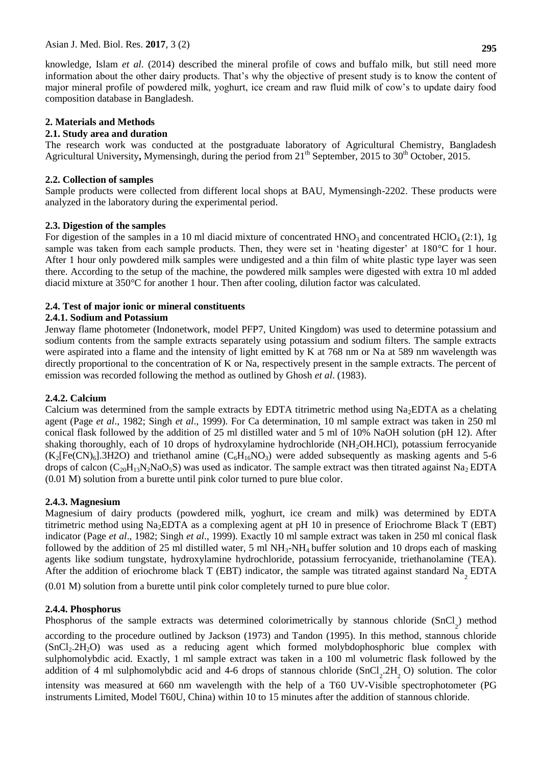knowledge, Islam *et al*. (2014) described the mineral profile of cows and buffalo milk, but still need more information about the other dairy products. That's why the objective of present study is to know the content of major mineral profile of powdered milk, yoghurt, ice cream and raw fluid milk of cow's to update dairy food composition database in Bangladesh.

## **2. Materials and Methods**

# **2.1. Study area and duration**

The research work was conducted at the postgraduate laboratory of Agricultural Chemistry, Bangladesh Agricultural University, Mymensingh, during the period from 21<sup>th</sup> September, 2015 to 30<sup>th</sup> October, 2015.

## **2.2. Collection of samples**

Sample products were collected from different local shops at BAU, Mymensingh-2202. These products were analyzed in the laboratory during the experimental period.

# **2.3. Digestion of the samples**

For digestion of the samples in a 10 ml diacid mixture of concentrated  $HNO_3$  and concentrated  $HClO<sub>4</sub>(2:1)$ , 1g sample was taken from each sample products. Then, they were set in 'heating digester' at 180 °C for 1 hour. After 1 hour only powdered milk samples were undigested and a thin film of white plastic type layer was seen there. According to the setup of the machine, the powdered milk samples were digested with extra 10 ml added diacid mixture at 350°C for another 1 hour. Then after cooling, dilution factor was calculated.

# **2.4. Test of major ionic or mineral constituents**

## **2.4.1. Sodium and Potassium**

Jenway flame photometer (Indonetwork, model PFP7, United Kingdom) was used to determine potassium and sodium contents from the sample extracts separately using potassium and sodium filters. The sample extracts were aspirated into a flame and the intensity of light emitted by K at 768 nm or Na at 589 nm wavelength was directly proportional to the concentration of K or Na, respectively present in the sample extracts. The percent of emission was recorded following the method as outlined by Ghosh *et al*. (1983).

## **2.4.2. Calcium**

Calcium was determined from the sample extracts by EDTA titrimetric method using  $Na<sub>2</sub>EDTA$  as a chelating agent (Page *et al*., 1982; Singh *et al*., 1999). For Ca determination, 10 ml sample extract was taken in 250 ml conical flask followed by the addition of 25 ml distilled water and 5 ml of 10% NaOH solution (pH 12). After shaking thoroughly, each of 10 drops of hydroxylamine hydrochloride (NH<sub>2</sub>OH.HCl), potassium ferrocyanide  $(K_2[Fe(CN)_6].3H2O)$  and triethanol amine  $(C_6H_{16}NO_3)$  were added subsequently as masking agents and 5-6 drops of calcon ( $C_{20}H_{13}N_2NaO_5S$ ) was used as indicator. The sample extract was then titrated against Na<sub>2</sub> EDTA (0.01 M) solution from a burette until pink color turned to pure blue color.

## **2.4.3. Magnesium**

Magnesium of dairy products (powdered milk, yoghurt, ice cream and milk) was determined by EDTA titrimetric method using Na2EDTA as a complexing agent at pH 10 in presence of Eriochrome Black T (EBT) indicator (Page *et al*., 1982; Singh *et al*., 1999). Exactly 10 ml sample extract was taken in 250 ml conical flask followed by the addition of 25 ml distilled water, 5 ml  $NH_3-NH_4$  buffer solution and 10 drops each of masking agents like sodium tungstate, hydroxylamine hydrochloride, potassium ferrocyanide, triethanolamine (TEA). After the addition of eriochrome black T (EBT) indicator, the sample was titrated against standard  $\text{Na}_{2}$  EDTA

(0.01 M) solution from a burette until pink color completely turned to pure blue color.

## **2.4.4. Phosphorus**

Phosphorus of the sample extracts was determined colorimetrically by stannous chloride (SnCl<sub>2</sub>) method according to the procedure outlined by Jackson (1973) and Tandon (1995). In this method, stannous chloride (SnCl2.2H2O) was used as a reducing agent which formed molybdophosphoric blue complex with sulphomolybdic acid. Exactly, 1 ml sample extract was taken in a 100 ml volumetric flask followed by the addition of 4 ml sulphomolybdic acid and 4-6 drops of stannous chloride  $(SnCl_2.2H_2 O)$  solution. The color intensity was measured at 660 nm wavelength with the help of a T60 UV-Visible spectrophotometer (PG instruments Limited, Model T60U, China) within 10 to 15 minutes after the addition of stannous chloride.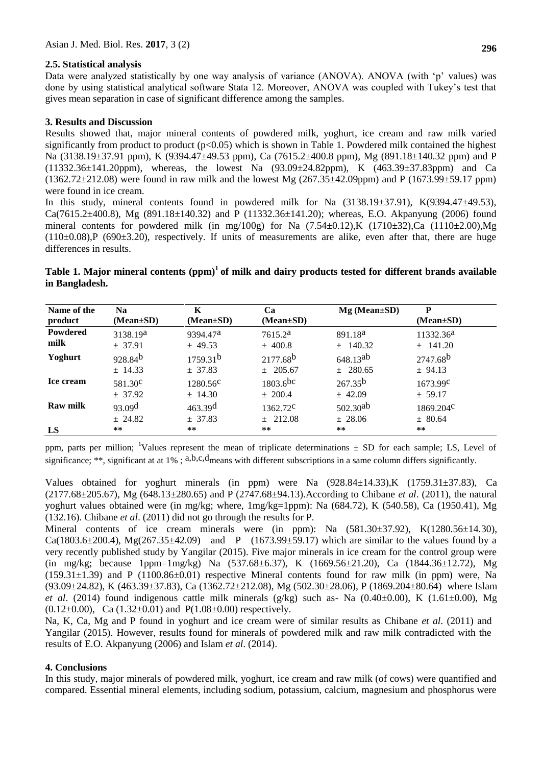## **2.5. Statistical analysis**

Data were analyzed statistically by one way analysis of variance (ANOVA). ANOVA (with 'p' values) was done by using statistical analytical software Stata 12. Moreover, ANOVA was coupled with Tukey's test that gives mean separation in case of significant difference among the samples.

#### **3. Results and Discussion**

Results showed that, major mineral contents of powdered milk, yoghurt, ice cream and raw milk varied significantly from product to product ( $p<0.05$ ) which is shown in Table 1. Powdered milk contained the highest Na (3138.19±37.91 ppm), K (9394.47±49.53 ppm), Ca (7615.2±400.8 ppm), Mg (891.18±140.32 ppm) and P  $(11332.36\pm141.20\,\text{ppm})$ , whereas, the lowest Na  $(93.09\pm24.82\,\text{ppm})$ , K  $(463.39\pm37.83\,\text{ppm})$  and Ca  $(1362.72 \pm 212.08)$  were found in raw milk and the lowest Mg  $(267.35 \pm 42.09$ ppm) and P  $(1673.99 \pm 59.17$  ppm) were found in ice cream.

In this study, mineral contents found in powdered milk for Na (3138.19±37.91), K(9394.47±49.53),  $Ca(7615.2\pm400.8)$ , Mg (891.18 $\pm$ 140.32) and P (11332.36 $\pm$ 141.20); whereas, E.O. Akpanyung (2006) found mineral contents for powdered milk (in mg/100g) for Na  $(7.54\pm0.12)$ , K  $(1710\pm32)$ , Ca  $(1110\pm2.00)$ , Mg  $(110\pm0.08)$ ,P (690 $\pm$ 3.20), respectively. If units of measurements are alike, even after that, there are huge differences in results.

## **Table 1. Major mineral contents (ppm)<sup>1</sup>of milk and dairy products tested for different brands available in Bangladesh.**

| Name of the     | <b>Na</b>           | K                    | Ca                   | $Mg$ (Mean $\pm SD$ ) | P                     |
|-----------------|---------------------|----------------------|----------------------|-----------------------|-----------------------|
| product         | $(Mean \pm SD)$     | $(Mean \pm SD)$      | $(Mean \pm SD)$      |                       | $(Mean \pm SD)$       |
| Powdered        | 3138.19a            | 9394.47 <sup>a</sup> | 7615.2 <sup>a</sup>  | 891.18 <sup>a</sup>   | 11332.36 <sup>a</sup> |
| milk            | ± 37.91             | $±$ 49.53            | $±$ 400.8            | $\pm$ 140.32          | $\pm$ 141.20          |
| Yoghurt         | 928.84 <sup>b</sup> | 1759.31 <sup>b</sup> | 2177.68 <sup>b</sup> | 648.13ab              | 2747.68 <sup>b</sup>  |
|                 | $±$ 14.33           | ± 37.83              | $±$ 205.67           | $±$ 280.65            | ± 94.13               |
| Ice cream       | 581.30 <sup>c</sup> | $1280.56^{\circ}$    | $1803.6$ bc          | $267.35^{b}$          | $1673.99^{\circ}$     |
|                 | ± 37.92             | $±$ 14.30            | $±$ 200.4            | $±$ 42.09             | ± 59.17               |
| <b>Raw milk</b> | 93.09 <sup>d</sup>  | 463.39 <sup>d</sup>  | $1362.72^{\circ}$    | $502.30^{ab}$         | $1869.204^{\circ}$    |
|                 | ± 24.82             | ± 37.83              | $\pm$ 212.08         | ± 28.06               | ± 80.64               |
| LS              | **                  | $***$                | $**$                 | $**$                  | **                    |

ppm, parts per million; <sup>1</sup>Values represent the mean of triplicate determinations  $\pm$  SD for each sample; LS, Level of significance; \*\*, significant at at  $1\%$ ; a,b,c,d means with different subscriptions in a same column differs significantly.

Values obtained for yoghurt minerals (in ppm) were Na (928.84±14.33),K (1759.31±37.83), Ca (2177.68±205.67), Mg (648.13±280.65) and P (2747.68±94.13).According to Chibane *et al*. (2011), the natural yoghurt values obtained were (in mg/kg; where, 1mg/kg=1ppm): Na (684.72), K (540.58), Ca (1950.41), Mg (132.16). Chibane *et al*. (2011) did not go through the results for P.

Mineral contents of ice cream minerals were (in ppm): Na (581.30±37.92), K(1280.56±14.30), Ca(1803.6 $\pm$ 200.4), Mg(267.35 $\pm$ 42.09) and P (1673.99 $\pm$ 59.17) which are similar to the values found by a very recently published study by Yangilar (2015). Five major minerals in ice cream for the control group were (in mg/kg; because 1ppm=1mg/kg) Na (537.68±6.37), K (1669.56±21.20), Ca (1844.36±12.72), Mg  $(159.31\pm1.39)$  and P  $(1100.86\pm0.01)$  respective Mineral contents found for raw milk (in ppm) were, Na (93.09±24.82), K (463.39±37.83), Ca (1362.72±212.08), Mg (502.30±28.06), P (1869.204±80.64) where Islam *et al.* (2014) found indigenous cattle milk minerals (g/kg) such as- Na (0.40±0.00), K (1.61±0.00), Mg  $(0.12\pm0.00)$ , Ca  $(1.32\pm0.01)$  and P $(1.08\pm0.00)$  respectively.

Na, K, Ca, Mg and P found in yoghurt and ice cream were of similar results as Chibane *et al*. (2011) and Yangilar (2015). However, results found for minerals of powdered milk and raw milk contradicted with the results of E.O. Akpanyung (2006) and Islam *et al*. (2014).

## **4. Conclusions**

In this study, major minerals of powdered milk, yoghurt, ice cream and raw milk (of cows) were quantified and compared. Essential mineral elements, including sodium, potassium, calcium, magnesium and phosphorus were